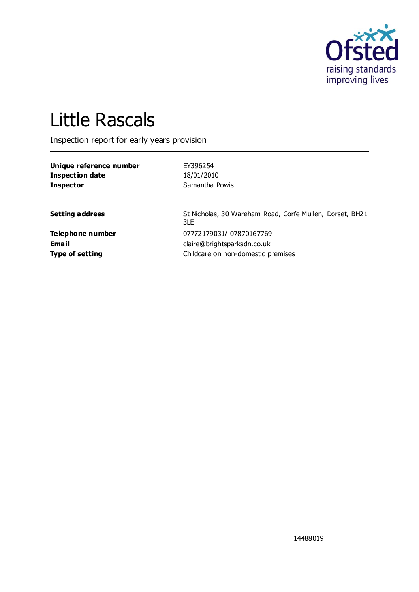

# Little Rascals

Inspection report for early years provision

| Unique reference number | EY396254       |
|-------------------------|----------------|
| Inspection date         | 18/01/2010     |
| <b>Inspector</b>        | Samantha Powis |

**Setting address** St Nicholas, 30 Wareham Road, Corfe Mullen, Dorset, BH21 3LE **Telephone number** 07772179031/ 07870167769 **Email** claire@brightsparksdn.co.uk **Type of setting** Childcare on non-domestic premises

14488019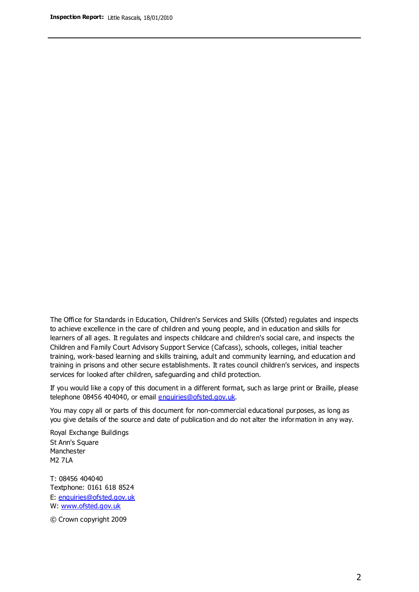The Office for Standards in Education, Children's Services and Skills (Ofsted) regulates and inspects to achieve excellence in the care of children and young people, and in education and skills for learners of all ages. It regulates and inspects childcare and children's social care, and inspects the Children and Family Court Advisory Support Service (Cafcass), schools, colleges, initial teacher training, work-based learning and skills training, adult and community learning, and education and training in prisons and other secure establishments. It rates council children's services, and inspects services for looked after children, safeguarding and child protection.

If you would like a copy of this document in a different format, such as large print or Braille, please telephone 08456 404040, or email enquiries@ofsted.gov.uk.

You may copy all or parts of this document for non-commercial educational purposes, as long as you give details of the source and date of publication and do not alter the information in any way.

Royal Exchange Buildings St Ann's Square Manchester M2 7LA

T: 08456 404040 Textphone: 0161 618 8524 E: enquiries@ofsted.gov.uk W: [www.ofsted.gov.uk](http://www.ofsted.gov.uk/)

© Crown copyright 2009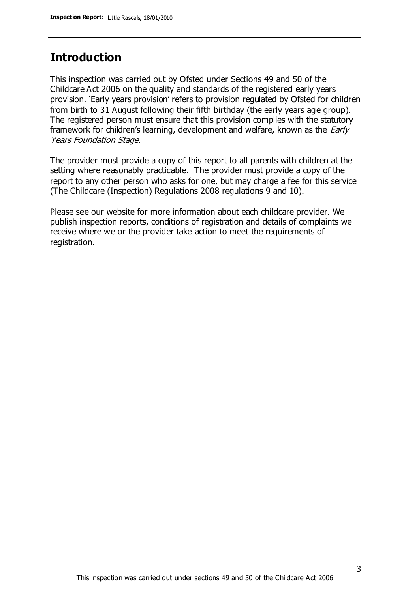### **Introduction**

This inspection was carried out by Ofsted under Sections 49 and 50 of the Childcare Act 2006 on the quality and standards of the registered early years provision. 'Early years provision' refers to provision regulated by Ofsted for children from birth to 31 August following their fifth birthday (the early years age group). The registered person must ensure that this provision complies with the statutory framework for children's learning, development and welfare, known as the *Early* Years Foundation Stage.

The provider must provide a copy of this report to all parents with children at the setting where reasonably practicable. The provider must provide a copy of the report to any other person who asks for one, but may charge a fee for this service (The Childcare (Inspection) Regulations 2008 regulations 9 and 10).

Please see our website for more information about each childcare provider. We publish inspection reports, conditions of registration and details of complaints we receive where we or the provider take action to meet the requirements of registration.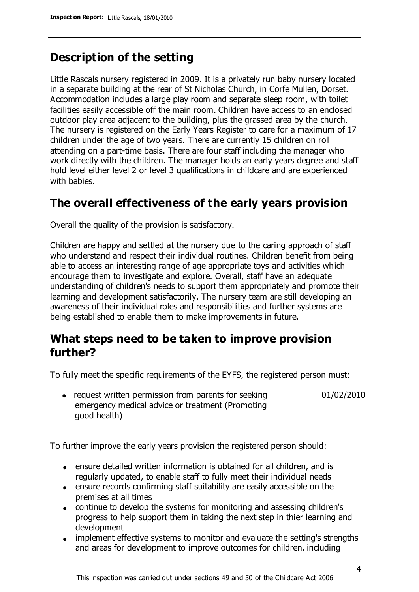## **Description of the setting**

Little Rascals nursery registered in 2009. It is a privately run baby nursery located in a separate building at the rear of St Nicholas Church, in Corfe Mullen, Dorset. Accommodation includes a large play room and separate sleep room, with toilet facilities easily accessible off the main room. Children have access to an enclosed outdoor play area adjacent to the building, plus the grassed area by the church. The nursery is registered on the Early Years Register to care for a maximum of 17 children under the age of two years. There are currently 15 children on roll attending on a part-time basis. There are four staff including the manager who work directly with the children. The manager holds an early years degree and staff hold level either level 2 or level 3 qualifications in childcare and are experienced with babies.

#### **The overall effectiveness of the early years provision**

Overall the quality of the provision is satisfactory.

Children are happy and settled at the nursery due to the caring approach of staff who understand and respect their individual routines. Children benefit from being able to access an interesting range of age appropriate toys and activities which encourage them to investigate and explore. Overall, staff have an adequate understanding of children's needs to support them appropriately and promote their learning and development satisfactorily. The nursery team are still developing an awareness of their individual roles and responsibilities and further systems are being established to enable them to make improvements in future.

## **What steps need to be taken to improve provision further?**

To fully meet the specific requirements of the EYFS, the registered person must:

01/02/2010

• request written permission from parents for seeking emergency medical advice or treatment (Promoting good health)

To further improve the early years provision the registered person should:

- ensure detailed written information is obtained for all children, and is regularly updated, to enable staff to fully meet their individual needs
- ensure records confirming staff suitability are easily accessible on the premises at all times
- continue to develop the systems for monitoring and assessing children's progress to help support them in taking the next step in thier learning and development
- implement effective systems to monitor and evaluate the setting's strengths and areas for development to improve outcomes for children, including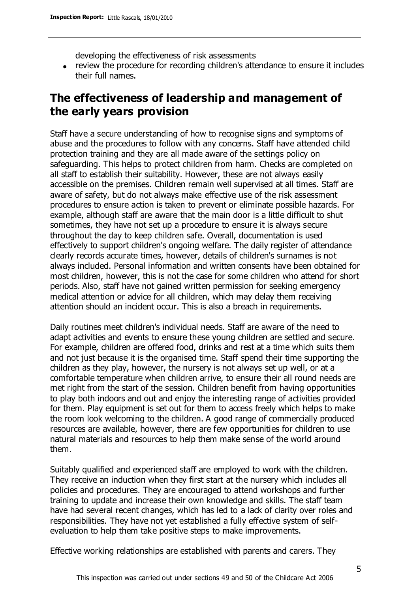developing the effectiveness of risk assessments

review the procedure for recording children's attendance to ensure it includes their full names.

## **The effectiveness of leadership and management of the early years provision**

Staff have a secure understanding of how to recognise signs and symptoms of abuse and the procedures to follow with any concerns. Staff have attended child protection training and they are all made aware of the settings policy on safeguarding. This helps to protect children from harm. Checks are completed on all staff to establish their suitability. However, these are not always easily accessible on the premises. Children remain well supervised at all times. Staff are aware of safety, but do not always make effective use of the risk assessment procedures to ensure action is taken to prevent or eliminate possible hazards. For example, although staff are aware that the main door is a little difficult to shut sometimes, they have not set up a procedure to ensure it is always secure throughout the day to keep children safe. Overall, documentation is used effectively to support children's ongoing welfare. The daily register of attendance clearly records accurate times, however, details of children's surnames is not always included. Personal information and written consents have been obtained for most children, however, this is not the case for some children who attend for short periods. Also, staff have not gained written permission for seeking emergency medical attention or advice for all children, which may delay them receiving attention should an incident occur. This is also a breach in requirements.

Daily routines meet children's individual needs. Staff are aware of the need to adapt activities and events to ensure these young children are settled and secure. For example, children are offered food, drinks and rest at a time which suits them and not just because it is the organised time. Staff spend their time supporting the children as they play, however, the nursery is not always set up well, or at a comfortable temperature when children arrive, to ensure their all round needs are met right from the start of the session. Children benefit from having opportunities to play both indoors and out and enjoy the interesting range of activities provided for them. Play equipment is set out for them to access freely which helps to make the room look welcoming to the children. A good range of commercially produced resources are available, however, there are few opportunities for children to use natural materials and resources to help them make sense of the world around them.

Suitably qualified and experienced staff are employed to work with the children. They receive an induction when they first start at the nursery which includes all policies and procedures. They are encouraged to attend workshops and further training to update and increase their own knowledge and skills. The staff team have had several recent changes, which has led to a lack of clarity over roles and responsibilities. They have not yet established a fully effective system of selfevaluation to help them take positive steps to make improvements.

Effective working relationships are established with parents and carers. They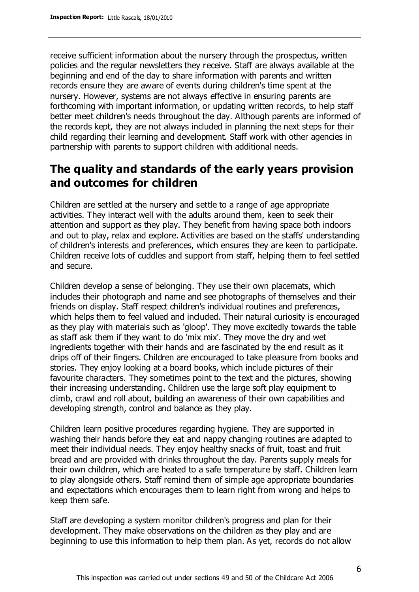receive sufficient information about the nursery through the prospectus, written policies and the regular newsletters they receive. Staff are always available at the beginning and end of the day to share information with parents and written records ensure they are aware of events during children's time spent at the nursery. However, systems are not always effective in ensuring parents are forthcoming with important information, or updating written records, to help staff better meet children's needs throughout the day. Although parents are informed of the records kept, they are not always included in planning the next steps for their child regarding their learning and development. Staff work with other agencies in partnership with parents to support children with additional needs.

## **The quality and standards of the early years provision and outcomes for children**

Children are settled at the nursery and settle to a range of age appropriate activities. They interact well with the adults around them, keen to seek their attention and support as they play. They benefit from having space both indoors and out to play, relax and explore. Activities are based on the staffs' understanding of children's interests and preferences, which ensures they are keen to participate. Children receive lots of cuddles and support from staff, helping them to feel settled and secure.

Children develop a sense of belonging. They use their own placemats, which includes their photograph and name and see photographs of themselves and their friends on display. Staff respect children's individual routines and preferences, which helps them to feel valued and included. Their natural curiosity is encouraged as they play with materials such as 'gloop'. They move excitedly towards the table as staff ask them if they want to do 'mix mix'. They move the dry and wet ingredients together with their hands and are fascinated by the end result as it drips off of their fingers. Children are encouraged to take pleasure from books and stories. They enjoy looking at a board books, which include pictures of their favourite characters. They sometimes point to the text and the pictures, showing their increasing understanding. Children use the large soft play equipment to climb, crawl and roll about, building an awareness of their own capabilities and developing strength, control and balance as they play.

Children learn positive procedures regarding hygiene. They are supported in washing their hands before they eat and nappy changing routines are adapted to meet their individual needs. They enjoy healthy snacks of fruit, toast and fruit bread and are provided with drinks throughout the day. Parents supply meals for their own children, which are heated to a safe temperature by staff. Children learn to play alongside others. Staff remind them of simple age appropriate boundaries and expectations which encourages them to learn right from wrong and helps to keep them safe.

Staff are developing a system monitor children's progress and plan for their development. They make observations on the children as they play and are beginning to use this information to help them plan. As yet, records do not allow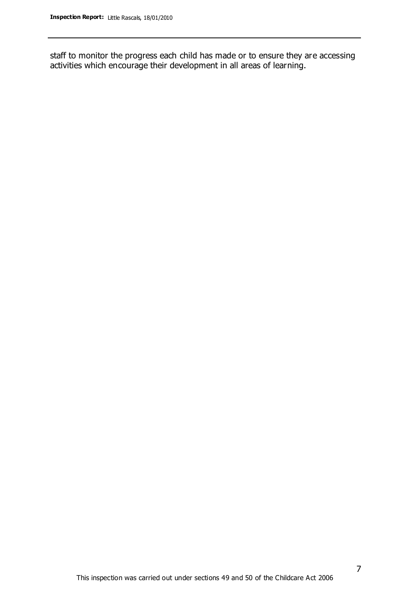staff to monitor the progress each child has made or to ensure they are accessing activities which encourage their development in all areas of learning.